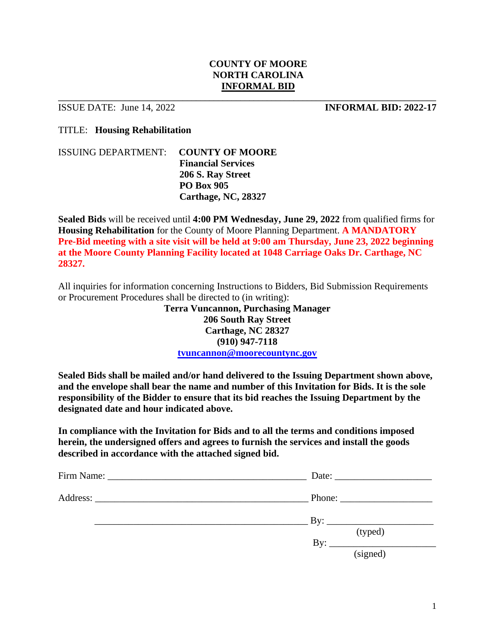### **COUNTY OF MOORE NORTH CAROLINA INFORMAL BID**

\_\_\_\_\_\_\_\_\_\_\_\_\_\_\_\_\_\_\_\_\_\_\_\_\_\_\_\_\_\_\_\_\_\_\_\_\_\_\_\_\_\_\_\_\_\_\_\_\_\_\_\_\_\_\_\_\_\_\_\_\_\_\_\_\_\_\_\_\_\_\_\_\_\_\_\_\_\_\_\_\_\_\_\_\_

**ISSUE DATE:** June 14, 2022<br>**INFORMAL BID: 2022-17** 

TITLE: **Housing Rehabilitation**

ISSUING DEPARTMENT: **COUNTY OF MOORE Financial Services 206 S. Ray Street PO Box 905 Carthage, NC, 28327**

**Sealed Bids** will be received until **4:00 PM Wednesday, June 29, 2022** from qualified firms for **Housing Rehabilitation** for the County of Moore Planning Department. **A MANDATORY Pre-Bid meeting with a site visit will be held at 9:00 am Thursday, June 23, 2022 beginning at the Moore County Planning Facility located at 1048 Carriage Oaks Dr. Carthage, NC 28327.**

All inquiries for information concerning Instructions to Bidders, Bid Submission Requirements or Procurement Procedures shall be directed to (in writing):

> **Terra Vuncannon, Purchasing Manager 206 South Ray Street Carthage, NC 28327 (910) 947-7118 [tvuncannon@moorecountync.gov](mailto:tvuncannon@moorecountync.gov)**

**Sealed Bids shall be mailed and/or hand delivered to the Issuing Department shown above, and the envelope shall bear the name and number of this Invitation for Bids. It is the sole responsibility of the Bidder to ensure that its bid reaches the Issuing Department by the designated date and hour indicated above.**

**In compliance with the Invitation for Bids and to all the terms and conditions imposed herein, the undersigned offers and agrees to furnish the services and install the goods described in accordance with the attached signed bid.**

| $\frac{1}{2}$ By:     |
|-----------------------|
| (typed)<br>$\rm\,By:$ |
| (signed)              |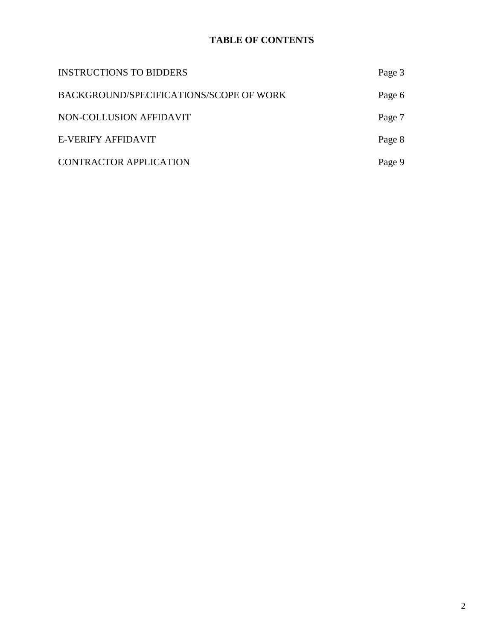# **TABLE OF CONTENTS**

| <b>INSTRUCTIONS TO BIDDERS</b>          | Page 3 |
|-----------------------------------------|--------|
| BACKGROUND/SPECIFICATIONS/SCOPE OF WORK | Page 6 |
| NON-COLLUSION AFFIDAVIT                 | Page 7 |
| E-VERIFY AFFIDAVIT                      | Page 8 |
| <b>CONTRACTOR APPLICATION</b>           | Page 9 |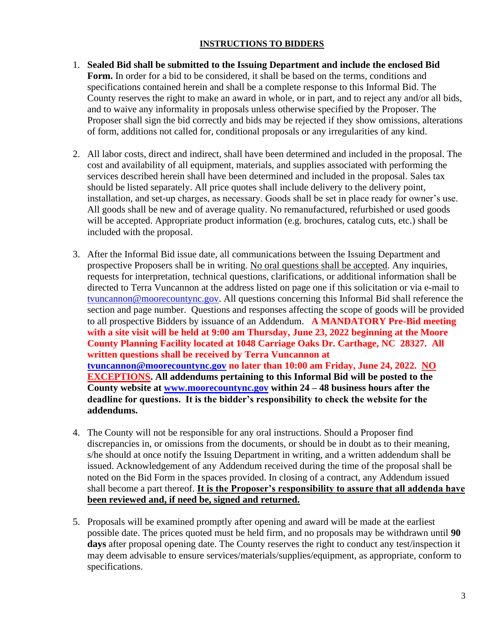### **INSTRUCTIONS TO BIDDERS**

- 1. **Sealed Bid shall be submitted to the Issuing Department and include the enclosed Bid Form.** In order for a bid to be considered, it shall be based on the terms, conditions and specifications contained herein and shall be a complete response to this Informal Bid. The County reserves the right to make an award in whole, or in part, and to reject any and/or all bids, and to waive any informality in proposals unless otherwise specified by the Proposer. The Proposer shall sign the bid correctly and bids may be rejected if they show omissions, alterations of form, additions not called for, conditional proposals or any irregularities of any kind.
- 2. All labor costs, direct and indirect, shall have been determined and included in the proposal. The cost and availability of all equipment, materials, and supplies associated with performing the services described herein shall have been determined and included in the proposal. Sales tax should be listed separately. All price quotes shall include delivery to the delivery point, installation, and set-up charges, as necessary. Goods shall be set in place ready for owner's use. All goods shall be new and of average quality. No remanufactured, refurbished or used goods will be accepted. Appropriate product information (e.g. brochures, catalog cuts, etc.) shall be included with the proposal.
- 3. After the Informal Bid issue date, all communications between the Issuing Department and prospective Proposers shall be in writing. No oral questions shall be accepted. Any inquiries, requests for interpretation, technical questions, clarifications, or additional information shall be directed to Terra Vuncannon at the address listed on page one if this solicitation or via e-mail to [tvuncannon@moorecountync.gov.](mailto:tvuncannon@moorecountync.gov) All questions concerning this Informal Bid shall reference the section and page number. Questions and responses affecting the scope of goods will be provided to all prospective Bidders by issuance of an Addendum. **A MANDATORY Pre-Bid meeting with a site visit will be held at 9:00 am Thursday, June 23, 2022 beginning at the Moore County Planning Facility located at 1048 Carriage Oaks Dr. Carthage, NC 28327. All written questions shall be received by Terra Vuncannon at [tvuncannon@moorecountync.gov](mailto:tvuncannon@moorecountync.gov) no later than 10:00 am Friday, June 24, 2022. NO EXCEPTIONS. All addendums pertaining to this Informal Bid will be posted to the County website at [www.moorecountync.gov](http://www.moorecountync.gov/) within 24 – 48 business hours after the deadline for questions. It is the bidder's responsibility to check the website for the addendums.**
- 4. The County will not be responsible for any oral instructions. Should a Proposer find discrepancies in, or omissions from the documents, or should be in doubt as to their meaning, s/he should at once notify the Issuing Department in writing, and a written addendum shall be issued. Acknowledgement of any Addendum received during the time of the proposal shall be noted on the Bid Form in the spaces provided. In closing of a contract, any Addendum issued shall become a part thereof. **It is the Proposer's responsibility to assure that all addenda have been reviewed and, if need be, signed and returned.**
- 5. Proposals will be examined promptly after opening and award will be made at the earliest possible date. The prices quoted must be held firm, and no proposals may be withdrawn until **90**  days after proposal opening date. The County reserves the right to conduct any test/inspection it may deem advisable to ensure services/materials/supplies/equipment, as appropriate, conform to specifications.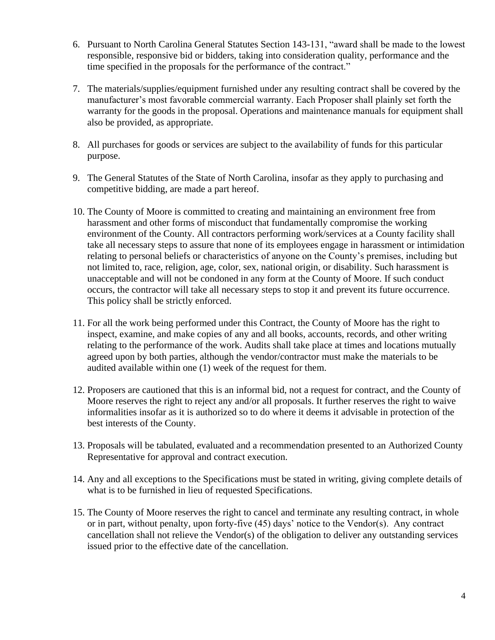- 6. Pursuant to North Carolina General Statutes Section 143-131, "award shall be made to the lowest responsible, responsive bid or bidders, taking into consideration quality, performance and the time specified in the proposals for the performance of the contract."
- 7. The materials/supplies/equipment furnished under any resulting contract shall be covered by the manufacturer's most favorable commercial warranty. Each Proposer shall plainly set forth the warranty for the goods in the proposal. Operations and maintenance manuals for equipment shall also be provided, as appropriate.
- 8. All purchases for goods or services are subject to the availability of funds for this particular purpose.
- 9. The General Statutes of the State of North Carolina, insofar as they apply to purchasing and competitive bidding, are made a part hereof.
- 10. The County of Moore is committed to creating and maintaining an environment free from harassment and other forms of misconduct that fundamentally compromise the working environment of the County. All contractors performing work/services at a County facility shall take all necessary steps to assure that none of its employees engage in harassment or intimidation relating to personal beliefs or characteristics of anyone on the County's premises, including but not limited to, race, religion, age, color, sex, national origin, or disability. Such harassment is unacceptable and will not be condoned in any form at the County of Moore. If such conduct occurs, the contractor will take all necessary steps to stop it and prevent its future occurrence. This policy shall be strictly enforced.
- 11. For all the work being performed under this Contract, the County of Moore has the right to inspect, examine, and make copies of any and all books, accounts, records, and other writing relating to the performance of the work. Audits shall take place at times and locations mutually agreed upon by both parties, although the vendor/contractor must make the materials to be audited available within one (1) week of the request for them.
- 12. Proposers are cautioned that this is an informal bid, not a request for contract, and the County of Moore reserves the right to reject any and/or all proposals. It further reserves the right to waive informalities insofar as it is authorized so to do where it deems it advisable in protection of the best interests of the County.
- 13. Proposals will be tabulated, evaluated and a recommendation presented to an Authorized County Representative for approval and contract execution.
- 14. Any and all exceptions to the Specifications must be stated in writing, giving complete details of what is to be furnished in lieu of requested Specifications.
- 15. The County of Moore reserves the right to cancel and terminate any resulting contract, in whole or in part, without penalty, upon forty-five (45) days' notice to the Vendor(s). Any contract cancellation shall not relieve the Vendor(s) of the obligation to deliver any outstanding services issued prior to the effective date of the cancellation.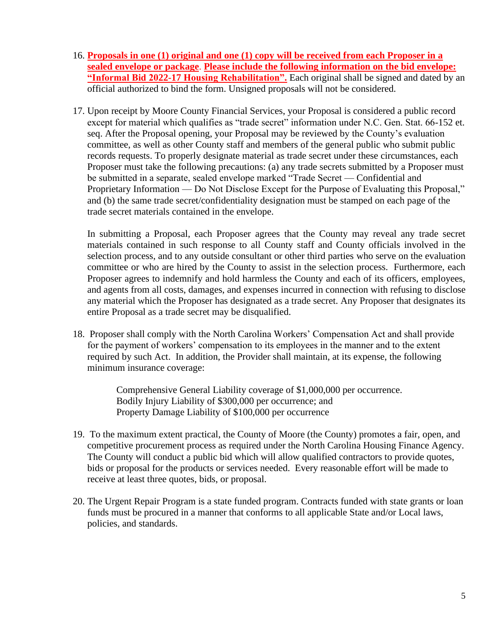- 16. **Proposals in one (1) original and one (1) copy will be received from each Proposer in a sealed envelope or package**. **Please include the following information on the bid envelope: "Informal Bid 2022-17 Housing Rehabilitation".** Each original shall be signed and dated by an official authorized to bind the form. Unsigned proposals will not be considered.
- 17. Upon receipt by Moore County Financial Services, your Proposal is considered a public record except for material which qualifies as "trade secret" information under N.C. Gen. Stat. 66-152 et. seq. After the Proposal opening, your Proposal may be reviewed by the County's evaluation committee, as well as other County staff and members of the general public who submit public records requests. To properly designate material as trade secret under these circumstances, each Proposer must take the following precautions: (a) any trade secrets submitted by a Proposer must be submitted in a separate, sealed envelope marked "Trade Secret — Confidential and Proprietary Information — Do Not Disclose Except for the Purpose of Evaluating this Proposal," and (b) the same trade secret/confidentiality designation must be stamped on each page of the trade secret materials contained in the envelope.

In submitting a Proposal, each Proposer agrees that the County may reveal any trade secret materials contained in such response to all County staff and County officials involved in the selection process, and to any outside consultant or other third parties who serve on the evaluation committee or who are hired by the County to assist in the selection process. Furthermore, each Proposer agrees to indemnify and hold harmless the County and each of its officers, employees, and agents from all costs, damages, and expenses incurred in connection with refusing to disclose any material which the Proposer has designated as a trade secret. Any Proposer that designates its entire Proposal as a trade secret may be disqualified.

18. Proposer shall comply with the North Carolina Workers' Compensation Act and shall provide for the payment of workers' compensation to its employees in the manner and to the extent required by such Act. In addition, the Provider shall maintain, at its expense, the following minimum insurance coverage:

> Comprehensive General Liability coverage of \$1,000,000 per occurrence. Bodily Injury Liability of \$300,000 per occurrence; and Property Damage Liability of \$100,000 per occurrence

- 19. To the maximum extent practical, the County of Moore (the County) promotes a fair, open, and competitive procurement process as required under the North Carolina Housing Finance Agency. The County will conduct a public bid which will allow qualified contractors to provide quotes, bids or proposal for the products or services needed. Every reasonable effort will be made to receive at least three quotes, bids, or proposal.
- 20. The Urgent Repair Program is a state funded program. Contracts funded with state grants or loan funds must be procured in a manner that conforms to all applicable State and/or Local laws, policies, and standards.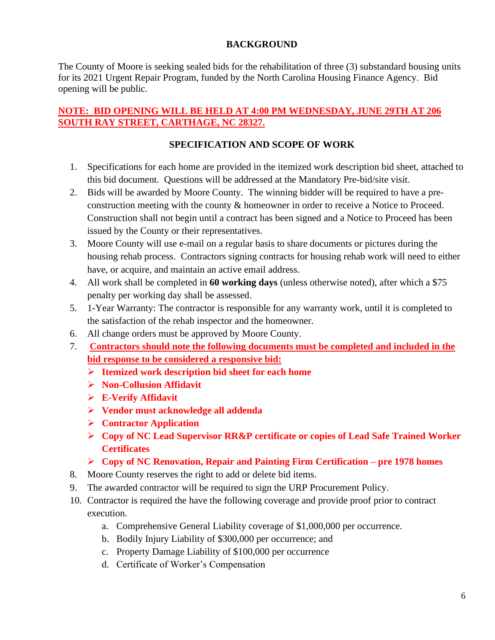# **BACKGROUND**

The County of Moore is seeking sealed bids for the rehabilitation of three (3) substandard housing units for its 2021 Urgent Repair Program, funded by the North Carolina Housing Finance Agency. Bid opening will be public.

# **NOTE: BID OPENING WILL BE HELD AT 4:00 PM WEDNESDAY, JUNE 29TH AT 206 SOUTH RAY STREET, CARTHAGE, NC 28327.**

# **SPECIFICATION AND SCOPE OF WORK**

- 1. Specifications for each home are provided in the itemized work description bid sheet, attached to this bid document. Questions will be addressed at the Mandatory Pre-bid/site visit.
- 2. Bids will be awarded by Moore County. The winning bidder will be required to have a preconstruction meeting with the county & homeowner in order to receive a Notice to Proceed. Construction shall not begin until a contract has been signed and a Notice to Proceed has been issued by the County or their representatives.
- 3. Moore County will use e-mail on a regular basis to share documents or pictures during the housing rehab process. Contractors signing contracts for housing rehab work will need to either have, or acquire, and maintain an active email address.
- 4. All work shall be completed in **60 working days** (unless otherwise noted), after which a \$75 penalty per working day shall be assessed.
- 5. 1-Year Warranty: The contractor is responsible for any warranty work, until it is completed to the satisfaction of the rehab inspector and the homeowner.
- 6. All change orders must be approved by Moore County.
- 7. **Contractors should note the following documents must be completed and included in the bid response to be considered a responsive bid:**
	- ➢ **Itemized work description bid sheet for each home**
	- ➢ **Non-Collusion Affidavit**
	- ➢ **E-Verify Affidavit**
	- ➢ **Vendor must acknowledge all addenda**
	- ➢ **Contractor Application**
	- ➢ **Copy of NC Lead Supervisor RR&P certificate or copies of Lead Safe Trained Worker Certificates**
	- ➢ **Copy of NC Renovation, Repair and Painting Firm Certification – pre 1978 homes**
- 8. Moore County reserves the right to add or delete bid items.
- 9. The awarded contractor will be required to sign the URP Procurement Policy.
- 10. Contractor is required the have the following coverage and provide proof prior to contract execution.
	- a. Comprehensive General Liability coverage of \$1,000,000 per occurrence.
	- b. Bodily Injury Liability of \$300,000 per occurrence; and
	- c. Property Damage Liability of \$100,000 per occurrence
	- d. Certificate of Worker's Compensation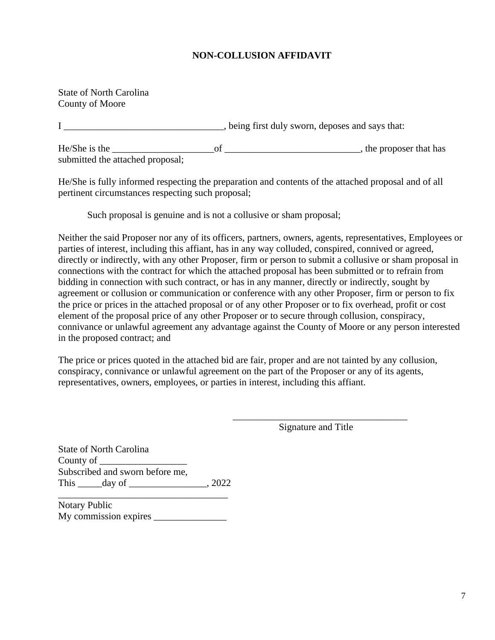# **NON-COLLUSION AFFIDAVIT**

State of North Carolina County of Moore

I help is the set of the sworn, deposes and says that:

He/She is the \_\_\_\_\_\_\_\_\_\_\_\_\_\_\_\_\_\_\_\_\_of \_\_\_\_\_\_\_\_\_\_\_\_\_\_\_\_\_\_\_\_\_\_\_\_\_\_\_\_, the proposer that has submitted the attached proposal;

He/She is fully informed respecting the preparation and contents of the attached proposal and of all pertinent circumstances respecting such proposal;

Such proposal is genuine and is not a collusive or sham proposal;

Neither the said Proposer nor any of its officers, partners, owners, agents, representatives, Employees or parties of interest, including this affiant, has in any way colluded, conspired, connived or agreed, directly or indirectly, with any other Proposer, firm or person to submit a collusive or sham proposal in connections with the contract for which the attached proposal has been submitted or to refrain from bidding in connection with such contract, or has in any manner, directly or indirectly, sought by agreement or collusion or communication or conference with any other Proposer, firm or person to fix the price or prices in the attached proposal or of any other Proposer or to fix overhead, profit or cost element of the proposal price of any other Proposer or to secure through collusion, conspiracy, connivance or unlawful agreement any advantage against the County of Moore or any person interested in the proposed contract; and

The price or prices quoted in the attached bid are fair, proper and are not tainted by any collusion, conspiracy, connivance or unlawful agreement on the part of the Proposer or any of its agents, representatives, owners, employees, or parties in interest, including this affiant.

> \_\_\_\_\_\_\_\_\_\_\_\_\_\_\_\_\_\_\_\_\_\_\_\_\_\_\_\_\_\_\_\_\_\_\_\_ Signature and Title

State of North Carolina County of Subscribed and sworn before me, This \_\_\_\_\_day of \_\_\_\_\_\_\_\_\_\_\_\_\_\_\_\_\_, 2022

Notary Public My commission expires

\_\_\_\_\_\_\_\_\_\_\_\_\_\_\_\_\_\_\_\_\_\_\_\_\_\_\_\_\_\_\_\_\_\_\_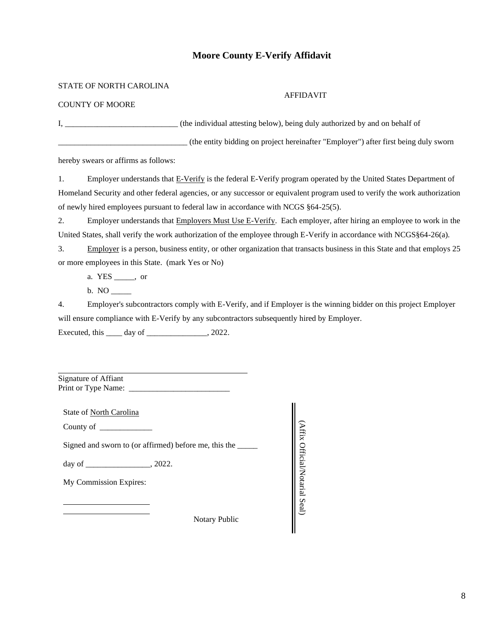### **Moore County E-Verify Affidavit**

STATE OF NORTH CAROLINA

#### AFFIDAVIT

COUNTY OF MOORE

I, \_\_\_\_\_\_\_\_\_\_\_\_\_\_\_\_\_\_\_\_\_\_\_\_\_\_\_\_ (the individual attesting below), being duly authorized by and on behalf of

\_\_\_\_\_\_\_\_\_\_\_\_\_\_\_\_\_\_\_\_\_\_\_\_\_\_\_\_\_\_\_\_ (the entity bidding on project hereinafter "Employer") after first being duly sworn

hereby swears or affirms as follows:

1. Employer understands that E-Verify is the federal E-Verify program operated by the United States Department of Homeland Security and other federal agencies, or any successor or equivalent program used to verify the work authorization of newly hired employees pursuant to federal law in accordance with NCGS §64-25(5).

2. Employer understands that **Employers Must Use E-Verify**. Each employer, after hiring an employee to work in the United States, shall verify the work authorization of the employee through E-Verify in accordance with NCGS§64-26(a).

3. Employer is a person, business entity, or other organization that transacts business in this State and that employs 25 or more employees in this State. (mark Yes or No)

a. YES \_\_\_\_\_, or

 $b. NO$ <sub>\_\_\_\_\_</sub>

4. Employer's subcontractors comply with E-Verify, and if Employer is the winning bidder on this project Employer will ensure compliance with E-Verify by any subcontractors subsequently hired by Employer. Executed, this day of \_\_\_\_\_\_\_\_\_\_\_\_, 2022.

Signature of Affiant Print or Type Name: \_\_\_\_\_\_\_\_\_\_\_\_\_\_\_\_\_\_\_\_\_\_\_\_\_

State of North Carolina

County of

Signed and sworn to (or affirmed) before me, this the

day of \_\_\_\_\_\_\_\_\_\_\_\_\_\_\_\_, 2022.

My Commission Expires:

Notary Public

(Affix Official/Notarial Seal) (Affix Official/Notarial Seal)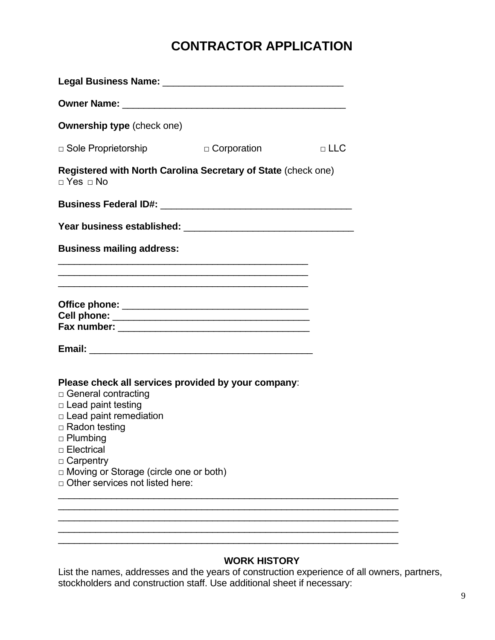# **CONTRACTOR APPLICATION**

| <b>Ownership type</b> (check one)                                                                                                                                                                                                                                                                                    |            |
|----------------------------------------------------------------------------------------------------------------------------------------------------------------------------------------------------------------------------------------------------------------------------------------------------------------------|------------|
| D Corporation<br>$\Box$ Sole Proprietorship                                                                                                                                                                                                                                                                          | $\Box$ LLC |
| Registered with North Carolina Secretary of State (check one)<br>$\Box$ Yes $\Box$ No                                                                                                                                                                                                                                |            |
|                                                                                                                                                                                                                                                                                                                      |            |
|                                                                                                                                                                                                                                                                                                                      |            |
| <b>Business mailing address:</b>                                                                                                                                                                                                                                                                                     |            |
| and the control of the control of the control of the control of the control of the control of the control of the                                                                                                                                                                                                     |            |
|                                                                                                                                                                                                                                                                                                                      |            |
| Please check all services provided by your company:<br>$\Box$ General contracting<br>$\Box$ Lead paint testing<br>$\Box$ Lead paint remediation<br>□ Radon testing<br>$\Box$ Plumbing<br>$\Box$ Electrical<br>□ Carpentry<br>$\Box$ Moving or Storage (circle one or both)<br>$\Box$ Other services not listed here: |            |

# **WORK HISTORY**

List the names, addresses and the years of construction experience of all owners, partners, stockholders and construction staff. Use additional sheet if necessary: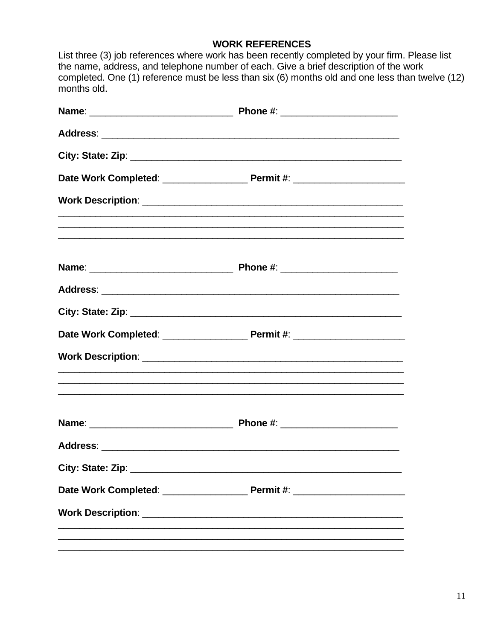# **WORK REFERENCES**

| months old. | List three (3) job references where work has been recently completed by your firm. Please list<br>the name, address, and telephone number of each. Give a brief description of the work<br>completed. One (1) reference must be less than six (6) months old and one less than twelve (12) |  |
|-------------|--------------------------------------------------------------------------------------------------------------------------------------------------------------------------------------------------------------------------------------------------------------------------------------------|--|
|             |                                                                                                                                                                                                                                                                                            |  |
|             |                                                                                                                                                                                                                                                                                            |  |
|             |                                                                                                                                                                                                                                                                                            |  |
|             |                                                                                                                                                                                                                                                                                            |  |
|             |                                                                                                                                                                                                                                                                                            |  |
|             |                                                                                                                                                                                                                                                                                            |  |
|             |                                                                                                                                                                                                                                                                                            |  |
|             |                                                                                                                                                                                                                                                                                            |  |
|             |                                                                                                                                                                                                                                                                                            |  |
|             | ,我们也不能在这里的时候,我们也不能在这里的时候,我们也不能在这里的时候,我们也不能会在这里的时候,我们也不能会在这里的时候,我们也不能会在这里的时候,我们也不                                                                                                                                                                                                           |  |
|             |                                                                                                                                                                                                                                                                                            |  |
|             |                                                                                                                                                                                                                                                                                            |  |
|             |                                                                                                                                                                                                                                                                                            |  |
|             |                                                                                                                                                                                                                                                                                            |  |
|             |                                                                                                                                                                                                                                                                                            |  |
|             |                                                                                                                                                                                                                                                                                            |  |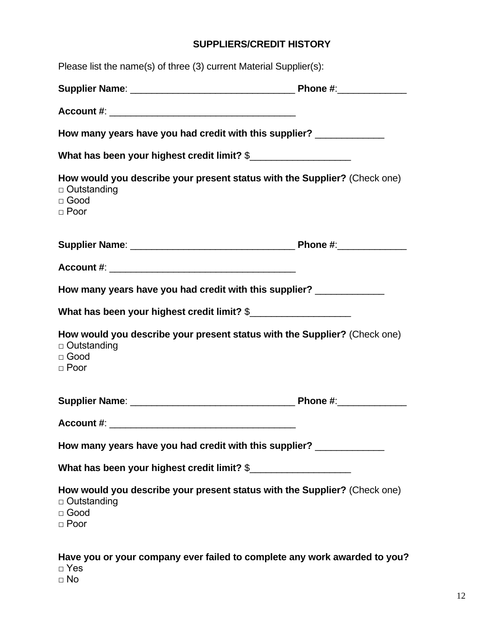# **SUPPLIERS/CREDIT HISTORY**

| Please list the name(s) of three (3) current Material Supplier(s):                                                            |  |
|-------------------------------------------------------------------------------------------------------------------------------|--|
|                                                                                                                               |  |
|                                                                                                                               |  |
| How many years have you had credit with this supplier? _____________                                                          |  |
| What has been your highest credit limit? \$                                                                                   |  |
| How would you describe your present status with the Supplier? (Check one)<br>□ Outstanding<br>$\square$ Good<br>$\Box$ Poor   |  |
|                                                                                                                               |  |
|                                                                                                                               |  |
| How many years have you had credit with this supplier? _____________                                                          |  |
| What has been your highest credit limit? \$                                                                                   |  |
| How would you describe your present status with the Supplier? (Check one)<br>$\Box$ Outstanding<br>$\Box$ Good<br>$\Box$ Poor |  |
|                                                                                                                               |  |
|                                                                                                                               |  |
| How many years have you had credit with this supplier? ____________                                                           |  |
| What has been your highest credit limit? \$                                                                                   |  |
| How would you describe your present status with the Supplier? (Check one)<br>□ Outstanding<br>□ Good<br>$\Box$ Poor           |  |
| Have you or your company ever failed to complete any work awarded to you?<br>$\Box$ Yes                                       |  |